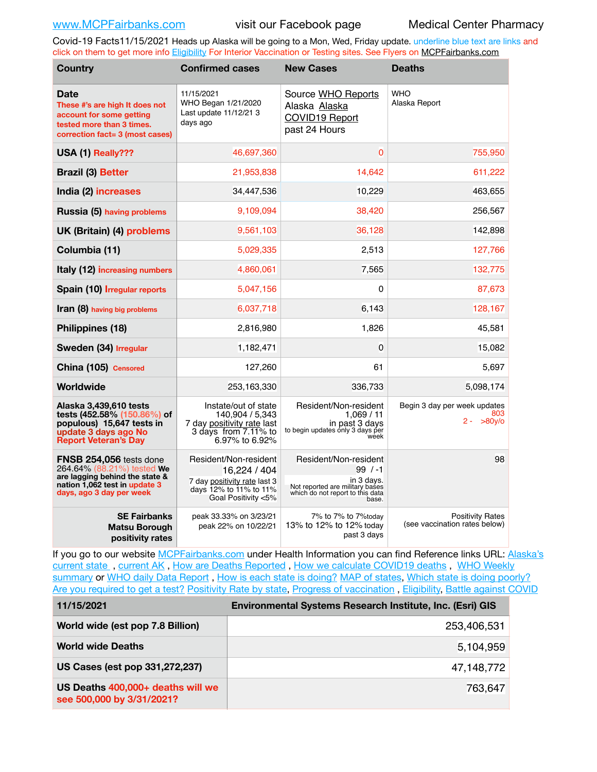Covid-19 Facts11/15/2021 Heads up Alaska will be going to a Mon, Wed, Friday update. underline blue text are links and click on them to get more info [Eligibility](http://dhss.alaska.gov/dph/Epi/id/Pages/COVID-19/VaccineAvailability.aspx) For Interior Vaccination or Testing sites. See Flyers on [MCPFairbanks.com](http://www.MCPFairbanks.com)

| <b>Country</b>                                                                                                                                       | <b>Confirmed cases</b>                                                                                                 | <b>New Cases</b>                                                                                                                | <b>Deaths</b>                                            |  |  |
|------------------------------------------------------------------------------------------------------------------------------------------------------|------------------------------------------------------------------------------------------------------------------------|---------------------------------------------------------------------------------------------------------------------------------|----------------------------------------------------------|--|--|
| Date<br>These #'s are high It does not<br>account for some getting<br>tested more than 3 times.<br>correction fact= 3 (most cases)                   | 11/15/2021<br>WHO Began 1/21/2020<br>Last update 11/12/21 3<br>days ago                                                | Source WHO Reports<br>Alaska Alaska<br><b>COVID19 Report</b><br>past 24 Hours                                                   | <b>WHO</b><br>Alaska Report                              |  |  |
| USA (1) Really???                                                                                                                                    | 46,697,360                                                                                                             | 0                                                                                                                               | 755,950                                                  |  |  |
| <b>Brazil (3) Better</b>                                                                                                                             | 21,953,838                                                                                                             | 14,642                                                                                                                          | 611,222                                                  |  |  |
| India (2) increases                                                                                                                                  | 34,447,536                                                                                                             | 10,229                                                                                                                          | 463,655                                                  |  |  |
| Russia (5) having problems                                                                                                                           | 9,109,094                                                                                                              | 38,420                                                                                                                          | 256,567                                                  |  |  |
| UK (Britain) (4) problems                                                                                                                            | 9,561,103                                                                                                              | 36,128                                                                                                                          | 142,898                                                  |  |  |
| Columbia (11)                                                                                                                                        | 5,029,335                                                                                                              | 2,513                                                                                                                           | 127,766                                                  |  |  |
| Italy (12) increasing numbers                                                                                                                        | 4,860,061                                                                                                              | 7,565                                                                                                                           | 132,775                                                  |  |  |
| Spain (10) Irregular reports                                                                                                                         | 5,047,156                                                                                                              | 0                                                                                                                               | 87,673                                                   |  |  |
| Iran (8) having big problems                                                                                                                         | 6,037,718                                                                                                              | 6,143                                                                                                                           | 128,167                                                  |  |  |
| Philippines (18)                                                                                                                                     | 2,816,980                                                                                                              | 1,826                                                                                                                           | 45,581                                                   |  |  |
| Sweden (34) Irregular                                                                                                                                | 1,182,471                                                                                                              | 0                                                                                                                               | 15,082                                                   |  |  |
| China (105) Censored                                                                                                                                 | 127,260                                                                                                                | 61                                                                                                                              | 5,697                                                    |  |  |
| Worldwide                                                                                                                                            | 253,163,330                                                                                                            | 336,733                                                                                                                         | 5,098,174                                                |  |  |
| Alaska 3,439,610 tests<br>tests (452.58% (150.86%) of<br>populous) 15,647 tests in<br>update 3 days ago No<br><b>Report Veteran's Day</b>            | Instate/out of state<br>140,904 / 5,343<br>7 day positivity rate last<br>3 days from 7.11% to<br>6.97% to 6.92%        | Resident/Non-resident<br>1.069/11<br>in past 3 days<br>to begin updates only 3 days per<br>week                                 | Begin 3 day per week updates<br>803<br>$2 - 80y$ o       |  |  |
| FNSB 254,056 tests done<br>264.64% (88.21%) tested We<br>are lagging behind the state &<br>nation 1,062 test in update 3<br>days, ago 3 day per week | Resident/Non-resident<br>16,224 / 404<br>7 day positivity rate last 3<br>days 12% to 11% to 11%<br>Goal Positivity <5% | Resident/Non-resident<br>$99/ -1$<br>in 3 days.<br>Not reported are military bases<br>which do not report to this data<br>base. | 98                                                       |  |  |
| <b>SE Fairbanks</b><br><b>Matsu Borough</b><br>positivity rates                                                                                      | peak 33.33% on 3/23/21<br>peak 22% on 10/22/21                                                                         | 7% to 7% to 7% today<br>13% to 12% to 12% today<br>past 3 days                                                                  | <b>Positivity Rates</b><br>(see vaccination rates below) |  |  |

If you go to our website [MCPFairbanks.com](http://www.MCPFairbanks.com) under Health Information you can find Reference links URL: Alaska's current state, current AK, [How are Deaths Reported](http://dhss.alaska.gov/dph/Epi/id/Pages/COVID-19/deathcounts.aspx), [How we calculate COVID19 deaths](https://coronavirus-response-alaska-dhss.hub.arcgis.com/search?collection=Document&groupIds=41ccb3344ebc4bd682c74073eba21f42), WHO Weekly [summary](http://www.who.int) or [WHO daily Data Report](https://covid19.who.int/table), [How is each state is doing?](https://www.msn.com/en-us/news/us/state-by-state-coronavirus-news/ar-BB13E1PX?fbclid=IwAR0_OBJH7lSyTN3ug_MsOeFnNgB1orTa9OBgilKJ7dhnwlVvHEsptuKkj1c) [MAP of states,](https://www.nationalgeographic.com/science/graphics/graphic-tracking-coronavirus-infections-us?cmpid=org=ngp::mc=crm-email::src=ngp::cmp=editorial::add=SpecialEdition_20210305&rid=B9A6DF5992658E8E35CE023113CFEA4C) [Which state is doing poorly?](https://bestlifeonline.com/covid-outbreak-your-state/?utm_source=nsltr&utm_medium=email&utm_content=covid-outbreak-your-state&utm_campaign=launch) [Are you required to get a test?](http://dhss.alaska.gov/dph/Epi/id/SiteAssets/Pages/HumanCoV/Whattodoafteryourtest.pdf) [Positivity Rate by state](https://coronavirus.jhu.edu/testing/individual-states/alaska), Progress of vaccination, [Eligibility,](http://dhss.alaska.gov/dph/Epi/id/Pages/COVID-19/VaccineAvailability.aspx) [Battle against COVID](https://www.nationalgeographic.com/science/graphics/graphic-tracking-coronavirus-infections-us?cmpid=org=ngp::mc=crm-email::src=ngp::cmp=editorial::add=SpecialEdition_20210219&rid=B9A6DF5992658E8E35CE023113CFEA4C)

| 11/15/2021                                                     | <b>Environmental Systems Research Institute, Inc. (Esri) GIS</b> |
|----------------------------------------------------------------|------------------------------------------------------------------|
| World wide (est pop 7.8 Billion)                               | 253,406,531                                                      |
| <b>World wide Deaths</b>                                       | 5,104,959                                                        |
| US Cases (est pop 331,272,237)                                 | 47,148,772                                                       |
| US Deaths 400,000+ deaths will we<br>see 500,000 by 3/31/2021? | 763,647                                                          |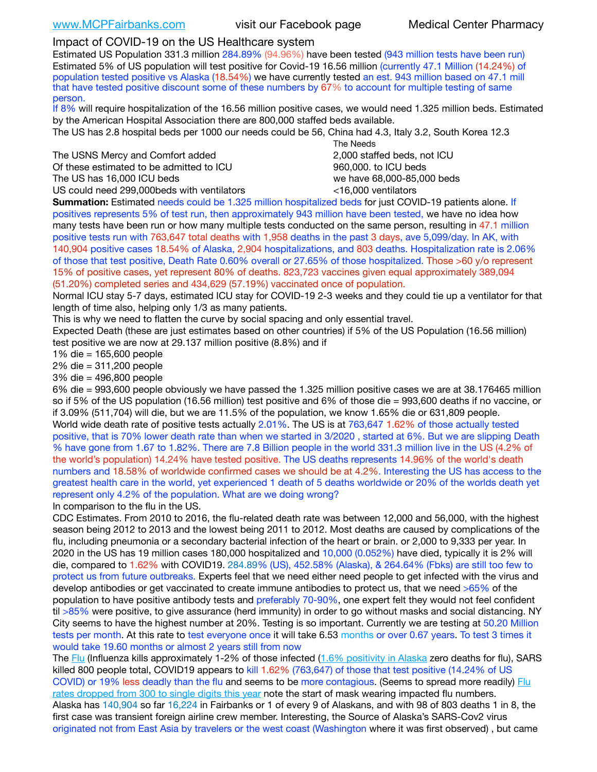## Impact of COVID-19 on the US Healthcare system

Estimated US Population 331.3 million 284.89% (94.96%) have been tested (943 million tests have been run) Estimated 5% of US population will test positive for Covid-19 16.56 million (currently 47.1 Million (14.24%) of population tested positive vs Alaska (18.54%) we have currently tested an est. 943 million based on 47.1 mill that have tested positive discount some of these numbers by 67% to account for multiple testing of same person.

If 8% will require hospitalization of the 16.56 million positive cases, we would need 1.325 million beds. Estimated by the American Hospital Association there are 800,000 staffed beds available.

The US has 2.8 hospital beds per 1000 our needs could be 56, China had 4.3, Italy 3.2, South Korea 12.3

The USNS Mercy and Comfort added 2,000 staffed beds, not ICU Of these estimated to be admitted to ICU 860,000. to ICU beds The US has 16,000 ICU beds we have 68,000-85,000 beds

US could need 299,000 beds with ventilators  $\leq 16,000$  ventilators

 The Needs

**Summation:** Estimated needs could be 1.325 million hospitalized beds for just COVID-19 patients alone. If positives represents 5% of test run, then approximately 943 million have been tested, we have no idea how many tests have been run or how many multiple tests conducted on the same person, resulting in 47.1 million positive tests run with 763,647 total deaths with 1,958 deaths in the past 3 days, ave 5,099/day. In AK, with 140,904 positive cases 18.54% of Alaska, 2,904 hospitalizations, and 803 deaths. Hospitalization rate is 2.06% of those that test positive, Death Rate 0.60% overall or 27.65% of those hospitalized. Those >60 y/o represent 15% of positive cases, yet represent 80% of deaths. 823,723 vaccines given equal approximately 389,094 (51.20%) completed series and 434,629 (57.19%) vaccinated once of population.

Normal ICU stay 5-7 days, estimated ICU stay for COVID-19 2-3 weeks and they could tie up a ventilator for that length of time also, helping only 1/3 as many patients.

This is why we need to flatten the curve by social spacing and only essential travel.

Expected Death (these are just estimates based on other countries) if 5% of the US Population (16.56 million) test positive we are now at 29.137 million positive (8.8%) and if

1% die = 165,600 people

2% die = 311,200 people

3% die = 496,800 people

6% die = 993,600 people obviously we have passed the 1.325 million positive cases we are at 38.176465 million so if 5% of the US population (16.56 million) test positive and 6% of those die = 993,600 deaths if no vaccine, or if 3.09% (511,704) will die, but we are 11.5% of the population, we know 1.65% die or 631,809 people. World wide death rate of positive tests actually 2.01%. The US is at 763,647 1.62% of those actually tested positive, that is 70% lower death rate than when we started in 3/2020 , started at 6%. But we are slipping Death % have gone from 1.67 to 1.82%. There are 7.8 Billion people in the world 331.3 million live in the US (4.2% of the world's population) 14.24% have tested positive. The US deaths represents 14.96% of the world's death numbers and 18.58% of worldwide confirmed cases we should be at 4.2%. Interesting the US has access to the greatest health care in the world, yet experienced 1 death of 5 deaths worldwide or 20% of the worlds death yet represent only 4.2% of the population. What are we doing wrong?

In comparison to the flu in the US.

CDC Estimates. From 2010 to 2016, the flu-related death rate was between 12,000 and 56,000, with the highest season being 2012 to 2013 and the lowest being 2011 to 2012. Most deaths are caused by complications of the flu, including pneumonia or a secondary bacterial infection of the heart or brain. or 2,000 to 9,333 per year. In 2020 in the US has 19 million cases 180,000 hospitalized and 10,000 (0.052%) have died, typically it is 2% will die, compared to 1.62% with COVID19. 284.89% (US), 452.58% (Alaska), & 264.64% (Fbks) are still too few to protect us from future outbreaks. Experts feel that we need either need people to get infected with the virus and develop antibodies or get vaccinated to create immune antibodies to protect us, that we need >65% of the population to have positive antibody tests and preferably 70-90%, one expert felt they would not feel confident til >85% were positive, to give assurance (herd immunity) in order to go without masks and social distancing. NY City seems to have the highest number at 20%. Testing is so important. Currently we are testing at 50.20 Million tests per month. At this rate to test everyone once it will take 6.53 months or over 0.67 years. To test 3 times it would take 19.60 months or almost 2 years still from now

The [Flu](https://lnks.gd/l/eyJhbGciOiJIUzI1NiJ9.eyJidWxsZXRpbl9saW5rX2lkIjoxMDMsInVyaSI6ImJwMjpjbGljayIsImJ1bGxldGluX2lkIjoiMjAyMTAyMjYuMzYwNDA3NTEiLCJ1cmwiOiJodHRwczovL3d3dy5jZGMuZ292L2ZsdS93ZWVrbHkvb3ZlcnZpZXcuaHRtIn0.ePMA_hsZ-pTnhWSyg1gHvHWYTu2XceVOt0JejxvP1WE/s/500544915/br/98428119752-l) (Influenza kills approximately 1-2% of those infected ([1.6% positivity in Alaska](http://dhss.alaska.gov/dph/Epi/id/SiteAssets/Pages/influenza/trends/Snapshot.pdf) zero deaths for flu), SARS killed 800 people total, COVID19 appears to kill 1.62% (763,647) of those that test positive (14.24% of US COVID) or 19% less deadly than the flu and seems to be more contagious. (Seems to spread more readily) [Flu](https://lnks.gd/l/eyJhbGciOiJIUzI1NiJ9.eyJidWxsZXRpbl9saW5rX2lkIjoxMDEsInVyaSI6ImJwMjpjbGljayIsImJ1bGxldGluX2lkIjoiMjAyMTAyMjYuMzYwNDA3NTEiLCJ1cmwiOiJodHRwOi8vZGhzcy5hbGFza2EuZ292L2RwaC9FcGkvaWQvUGFnZXMvaW5mbHVlbnphL2ZsdWluZm8uYXNweCJ9.oOe3nt2fww6XpsNhb4FZfmtPfPa-irGaldpkURBJhSo/s/500544915/br/98428119752-l)  [rates dropped from 300 to single digits this year](https://lnks.gd/l/eyJhbGciOiJIUzI1NiJ9.eyJidWxsZXRpbl9saW5rX2lkIjoxMDEsInVyaSI6ImJwMjpjbGljayIsImJ1bGxldGluX2lkIjoiMjAyMTAyMjYuMzYwNDA3NTEiLCJ1cmwiOiJodHRwOi8vZGhzcy5hbGFza2EuZ292L2RwaC9FcGkvaWQvUGFnZXMvaW5mbHVlbnphL2ZsdWluZm8uYXNweCJ9.oOe3nt2fww6XpsNhb4FZfmtPfPa-irGaldpkURBJhSo/s/500544915/br/98428119752-l) note the start of mask wearing impacted flu numbers. Alaska has 140,904 so far 16,224 in Fairbanks or 1 of every 9 of Alaskans, and with 98 of 803 deaths 1 in 8, the first case was transient foreign airline crew member. Interesting, the Source of Alaska's SARS-Cov2 virus originated not from East Asia by travelers or the west coast (Washington where it was first observed) , but came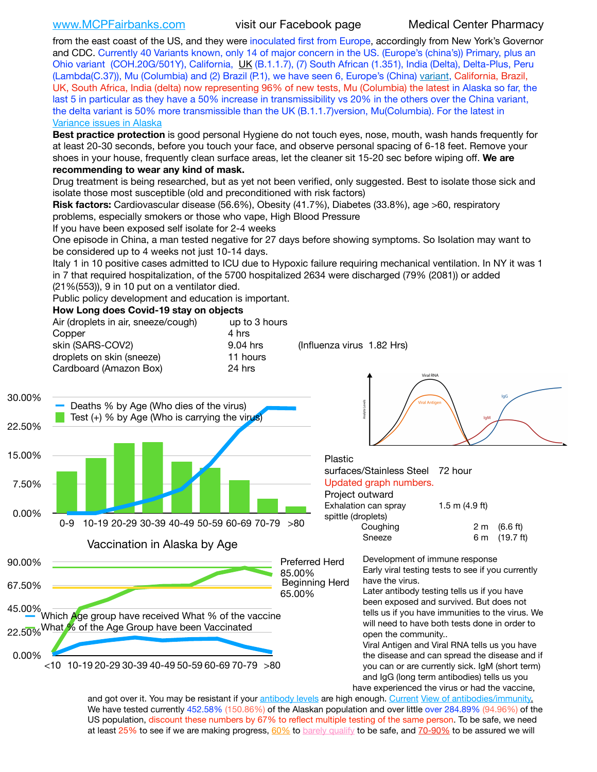[www.MCPFairbanks.com](http://www.MCPFairbanks.com) visit our Facebook page Medical Center Pharmacy

from the east coast of the US, and they were inoculated first from Europe, accordingly from New York's Governor and CDC. Currently 40 Variants known, only 14 of major concern in the US. (Europe's (china's)) Primary, plus an Ohio variant (COH.20G/501Y), California, [UK](https://www.cdc.gov/coronavirus/2019-ncov/transmission/variant-cases.html) (B.1.1.7), (7) South African (1.351), India (Delta), Delta-Plus, Peru (Lambda(C.37)), Mu (Columbia) and (2) Brazil (P.1), we have seen 6, Europe's (China) [variant,](https://www.webmd.com/lung/news/20210318/cdc-who-create-threat-levels-for-covid-variants?ecd=wnl_cvd_031921&ctr=wnl-cvd-031921&mb=kYbf7DsHb7YGjh/1RUkcAW0T6iorImAU1TDZh18RYs0=_Support_titleLink_2) California, Brazil, UK, South Africa, India (delta) now representing 96% of new tests, Mu (Columbia) the latest in Alaska so far, the last 5 in particular as they have a 50% increase in transmissibility vs 20% in the others over the China variant, the delta variant is 50% more transmissible than the UK (B.1.1.7) version, Mu(Columbia). For the latest in [Variance issues in Alaska](https://akvariants.github.io)

**Best practice protection** is good personal Hygiene do not touch eyes, nose, mouth, wash hands frequently for at least 20-30 seconds, before you touch your face, and observe personal spacing of 6-18 feet. Remove your shoes in your house, frequently clean surface areas, let the cleaner sit 15-20 sec before wiping off. **We are recommending to wear any kind of mask.**

Drug treatment is being researched, but as yet not been verified, only suggested. Best to isolate those sick and isolate those most susceptible (old and preconditioned with risk factors)

**Risk factors:** Cardiovascular disease (56.6%), Obesity (41.7%), Diabetes (33.8%), age >60, respiratory problems, especially smokers or those who vape, High Blood Pressure

If you have been exposed self isolate for 2-4 weeks

One episode in China, a man tested negative for 27 days before showing symptoms. So Isolation may want to be considered up to 4 weeks not just 10-14 days.

Italy 1 in 10 positive cases admitted to ICU due to Hypoxic failure requiring mechanical ventilation. In NY it was 1 in 7 that required hospitalization, of the 5700 hospitalized 2634 were discharged (79% (2081)) or added

(21%(553)), 9 in 10 put on a ventilator died.

Public policy development and education is important.

### **How Long does Covid-19 stay on objects**

|                  | Air (droplets in air, sneeze/cough)<br>Copper<br>skin (SARS-COV2)<br>droplets on skin (sneeze)<br>Cardboard (Amazon Box) | up to 3 hours<br>4 hrs<br>9.04 hrs<br>11 hours<br>24 hrs | (Influenza virus 1.82 Hrs)                | Viral RNA                                                                                                                                                                                                                                          |                             |                       |
|------------------|--------------------------------------------------------------------------------------------------------------------------|----------------------------------------------------------|-------------------------------------------|----------------------------------------------------------------------------------------------------------------------------------------------------------------------------------------------------------------------------------------------------|-----------------------------|-----------------------|
| 30.00%<br>22.50% | Deaths % by Age (Who dies of the virus)<br>Test (+) % by Age (Who is carrying the virus)                                 |                                                          |                                           | firal Antiqu                                                                                                                                                                                                                                       | <b>IqM</b>                  |                       |
| 15.00%           |                                                                                                                          |                                                          | Plastic                                   |                                                                                                                                                                                                                                                    |                             |                       |
| 7.50%            |                                                                                                                          |                                                          |                                           | surfaces/Stainless Steel<br>Updated graph numbers.<br>Project outward<br>Exhalation can spray                                                                                                                                                      | 72 hour<br>1.5 m $(4.9 ft)$ |                       |
| 0.00%            | 10-19 20-29 30-39 40-49 50-59 60-69 70-79 >80<br>$0 - 9$                                                                 |                                                          |                                           | spittle (droplets)<br>Coughing<br>Sneeze                                                                                                                                                                                                           | 2 <sub>m</sub><br>6 m       | (6.6 ft)<br>(19.7 ft) |
|                  | Vaccination in Alaska by Age                                                                                             |                                                          |                                           |                                                                                                                                                                                                                                                    |                             |                       |
| 90.00%           |                                                                                                                          |                                                          | <b>Preferred Herd</b>                     | Development of immune response                                                                                                                                                                                                                     |                             |                       |
| 67.50%           |                                                                                                                          |                                                          | 85.00%<br><b>Beginning Herd</b><br>65.00% | Early viral testing tests to see if you currently<br>have the virus.<br>Later antibody testing tells us if you have                                                                                                                                |                             |                       |
| 45.00%           | Which Age group have received What % of the vaccine                                                                      |                                                          |                                           | been exposed and survived. But does not<br>tells us if you have immunities to the virus. We<br>will need to have both tests done in order to                                                                                                       |                             |                       |
|                  | 22.50% What % of the Age Group have been Vaccinated                                                                      |                                                          |                                           | open the community                                                                                                                                                                                                                                 |                             |                       |
| 0.00%            | $<$ 10 10-19 20-29 30-39 40-49 50-59 60-69 70-79 $>$ 80                                                                  |                                                          |                                           | Viral Antigen and Viral RNA tells us you have<br>the disease and can spread the disease and if<br>you can or are currently sick. IgM (short term)<br>and IgG (long term antibodies) tells us you<br>have experienced the virus or had the vaccine. |                             |                       |

and got over it. You may be resistant if your [antibody levels](https://www.cdc.gov/coronavirus/2019-ncov/lab/resources/antibody-tests.html) are high enough. [Current](https://l.facebook.com/l.php?u=https://www.itv.com/news/2020-10-26/covid-19-antibody-levels-reduce-over-time-study-finds?fbclid=IwAR3Dapzh1qIH1EIOdUQI2y8THf7jfA4KBCaJz8Qg-8xe1YsrR4nsAHDIXSY&h=AT30nut8pkqp0heVuz5W2rT2WFFm-2Ab52BsJxZZCNlGsX58IpPkuVEPULbIUV_M16MAukx1Kwb657DPXxsgDN1rpOQ4gqBtQsmVYiWpnHPJo2RQsU6CPMd14lgLnQnFWxfVi6zvmw&__tn__=-UK-R&c%5B0%5D=AT1GaRAfR_nGAyqcn7TI1-PpvqOqEKXHnz6TDWvRStMnOSH7boQDvTiwTOc6VId9UES6LKiOmm2m88wKCoolkJyOFvakt2Z1Mw8toYWGGoWW23r0MNVBl7cYJXB_UOvGklNHaNnaNr1_S7NhT3BSykNOBg) [View of antibodies/immunity](https://www.livescience.com/antibodies.html)[.](https://www.itv.com/news/2020-10-26/covid-19-antibody-levels-reduce-over-time-study-finds) We have tested currently 452.58% (150.86%) of the Alaskan population and over little over 284.89% (94.96%) of the US population, discount these numbers by 67% to reflect multiple testing of the same person. To be safe, we need at least 25% to see if we are making progress, [60%](https://www.jhsph.edu/covid-19/articles/achieving-herd-immunity-with-covid19.html) to [barely qualify](https://www.nature.com/articles/d41586-020-02948-4) to be safe, and [70-90%](https://www.mayoclinic.org/herd-immunity-and-coronavirus/art-20486808) to be assured we will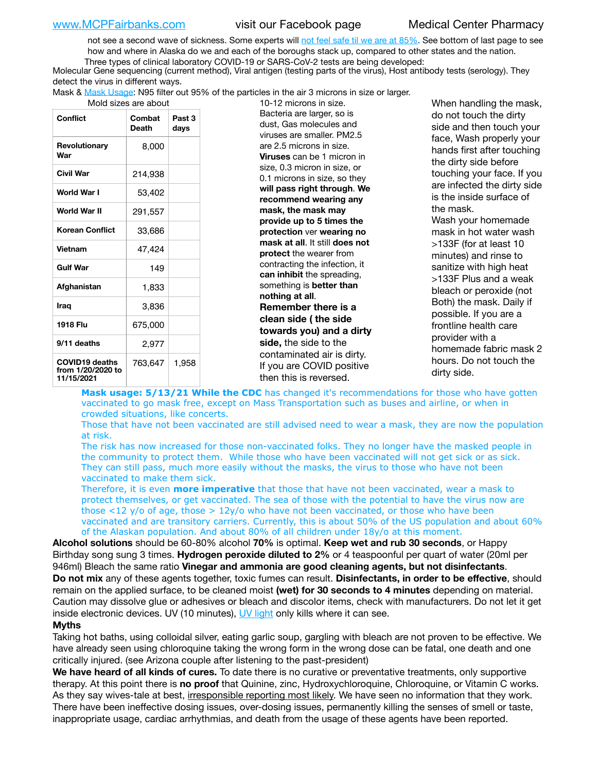not see a second wave of sickness. Some experts will [not feel safe til we are at 85%.](https://www.bannerhealth.com/healthcareblog/teach-me/what-is-herd-immunity) See bottom of last page to see how and where in Alaska do we and each of the boroughs stack up, compared to other states and the nation. Three types of clinical laboratory COVID-19 or SARS-CoV-2 tests are being developed:

 Molecular Gene sequencing (current method), Viral antigen (testing parts of the virus), Host antibody tests (serology). They detect the virus in different ways.

Mask & [Mask Usage:](https://www.nationalgeographic.com/history/2020/03/how-cities-flattened-curve-1918-spanish-flu-pandemic-coronavirus/) N95 filter out 95% of the particles in the air 3 microns in size or larger.

|  | Mold sizes are about |  |
|--|----------------------|--|

| Conflict                                                 | Combat<br>Death | Past 3<br>days |
|----------------------------------------------------------|-----------------|----------------|
| Revolutionary<br>War                                     | 8,000           |                |
| Civil War                                                | 214,938         |                |
| World War I                                              | 53,402          |                |
| World War II                                             | 291,557         |                |
| <b>Korean Conflict</b>                                   | 33,686          |                |
| Vietnam                                                  | 47,424          |                |
| <b>Gulf War</b>                                          | 149             |                |
| Afghanistan                                              | 1,833           |                |
| Iraq                                                     | 3,836           |                |
| 1918 Flu                                                 | 675,000         |                |
| 9/11 deaths                                              | 2,977           |                |
| <b>COVID19 deaths</b><br>from 1/20/2020 to<br>11/15/2021 | 763,647         | 1,958          |

old sizes are about 10-12 microns in size. Bacteria are larger, so is dust, Gas molecules and viruses are smaller. PM2.5 are 2.5 microns in size. **Viruses** can be 1 micron in size, 0.3 micron in size, or 0.1 microns in size, so they **will pass right through**. **We recommend wearing any mask, the mask may provide up to 5 times the protection** ver **wearing no mask at all**. It still **does not protect** the wearer from contracting the infection, it **can inhibit** the spreading, something is **better than nothing at all**. **Remember there is a clean side ( the side towards you) and a dirty side,** the side to the contaminated air is dirty. If you are COVID positive then this is reversed.

When handling the mask, do not touch the dirty side and then touch your face, Wash properly your hands first after touching the dirty side before touching your face. If you are infected the dirty side is the inside surface of the mask. Wash your homemade mask in hot water wash >133F (for at least 10 minutes) and rinse to sanitize with high heat >133F Plus and a weak bleach or peroxide (not Both) the mask. Daily if possible. If you are a frontline health care provider with a homemade fabric mask 2 hours. Do not touch the dirty side.

**Mask usage: 5/13/21 While the CDC** has changed it's recommendations for those who have gotten vaccinated to go mask free, except on Mass Transportation such as buses and airline, or when in crowded situations, like concerts.

Those that have not been vaccinated are still advised need to wear a mask, they are now the population at risk.

The risk has now increased for those non-vaccinated folks. They no longer have the masked people in the community to protect them. While those who have been vaccinated will not get sick or as sick. They can still pass, much more easily without the masks, the virus to those who have not been vaccinated to make them sick.

Therefore, it is even **more imperative** that those that have not been vaccinated, wear a mask to protect themselves, or get vaccinated. The sea of those with the potential to have the virus now are those <12 y/o of age, those >  $12y$ /o who have not been vaccinated, or those who have been vaccinated and are transitory carriers. Currently, this is about 50% of the US population and about 60% of the Alaskan population. And about 80% of all children under 18y/o at this moment.

**Alcohol solutions** should be 60-80% alcohol **70%** is optimal. **Keep wet and rub 30 seconds**, or Happy Birthday song sung 3 times. **Hydrogen peroxide diluted to 2%** or 4 teaspoonful per quart of water (20ml per 946ml) Bleach the same ratio **Vinegar and ammonia are good cleaning agents, but not disinfectants**. **Do not mix** any of these agents together, toxic fumes can result. **Disinfectants, in order to be effective**, should remain on the applied surface, to be cleaned moist **(wet) for 30 seconds to 4 minutes** depending on material. Caution may dissolve glue or adhesives or bleach and discolor items, check with manufacturers. Do not let it get inside electronic devices. UV (10 minutes), [UV light](http://www.docreviews.me/best-uv-boxes-2020/?fbclid=IwAR3bvFtXB48OoBBSvYvTEnKuHNPbipxM6jUo82QUSw9wckxjC7wwRZWabGw) only kills where it can see.

### **Myths**

Taking hot baths, using colloidal silver, eating garlic soup, gargling with bleach are not proven to be effective. We have already seen using chloroquine taking the wrong form in the wrong dose can be fatal, one death and one critically injured. (see Arizona couple after listening to the past-president)

**We have heard of all kinds of cures.** To date there is no curative or preventative treatments, only supportive therapy. At this point there is **no proof** that Quinine, zinc, Hydroxychloroquine, Chloroquine, or Vitamin C works. As they say wives-tale at best, irresponsible reporting most likely. We have seen no information that they work. There have been ineffective dosing issues, over-dosing issues, permanently killing the senses of smell or taste, inappropriate usage, cardiac arrhythmias, and death from the usage of these agents have been reported.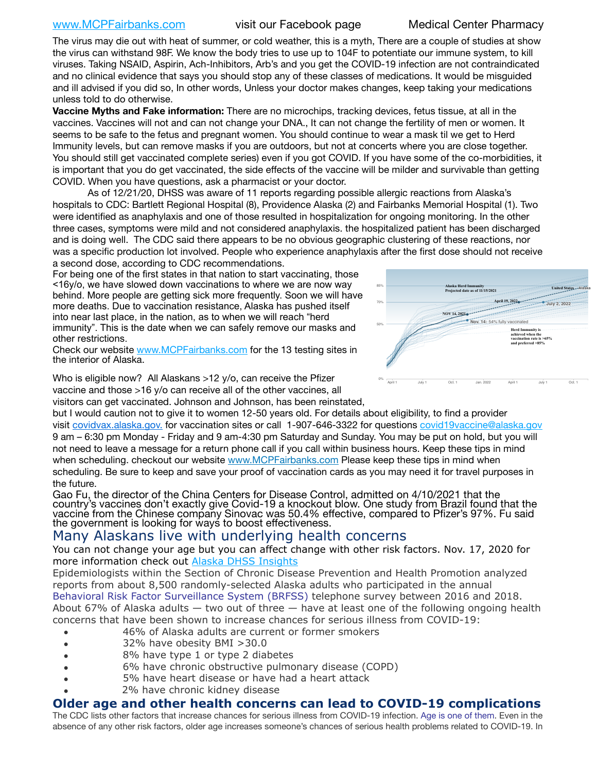## [www.MCPFairbanks.com](http://www.MCPFairbanks.com) visit our Facebook page Medical Center Pharmacy

The virus may die out with heat of summer, or cold weather, this is a myth, There are a couple of studies at show the virus can withstand 98F. We know the body tries to use up to 104F to potentiate our immune system, to kill viruses. Taking NSAID, Aspirin, Ach-Inhibitors, Arb's and you get the COVID-19 infection are not contraindicated and no clinical evidence that says you should stop any of these classes of medications. It would be misguided and ill advised if you did so, In other words, Unless your doctor makes changes, keep taking your medications unless told to do otherwise.

**Vaccine Myths and Fake information:** There are no microchips, tracking devices, fetus tissue, at all in the vaccines. Vaccines will not and can not change your DNA., It can not change the fertility of men or women. It seems to be safe to the fetus and pregnant women. You should continue to wear a mask til we get to Herd Immunity levels, but can remove masks if you are outdoors, but not at concerts where you are close together. You should still get vaccinated complete series) even if you got COVID. If you have some of the co-morbidities, it is important that you do get vaccinated, the side effects of the vaccine will be milder and survivable than getting COVID. When you have questions, ask a pharmacist or your doctor.

As of 12/21/20, DHSS was aware of 11 reports regarding possible allergic reactions from Alaska's hospitals to CDC: Bartlett Regional Hospital (8), Providence Alaska (2) and Fairbanks Memorial Hospital (1). Two were identified as anaphylaxis and one of those resulted in hospitalization for ongoing monitoring. In the other three cases, symptoms were mild and not considered anaphylaxis. the hospitalized patient has been discharged and is doing well. The CDC said there appears to be no obvious geographic clustering of these reactions, nor was a specific production lot involved. People who experience anaphylaxis after the first dose should not receive a second dose, according to CDC recommendations.

For being one of the first states in that nation to start vaccinating, those <16y/o, we have slowed down vaccinations to where we are now way behind. More people are getting sick more frequently. Soon we will have more deaths. Due to vaccination resistance, Alaska has pushed itself into near last place, in the nation, as to when we will reach "herd immunity". This is the date when we can safely remove our masks and other restrictions.

Check our website [www.MCPFairbanks.com](http://www.MCPFairbanks.com) for the 13 testing sites in the interior of Alaska.

Who is eligible now? All Alaskans >12 y/o, can receive the Pfizer vaccine and those >16 y/o can receive all of the other vaccines, all

visitors can get vaccinated. Johnson and Johnson, has been reinstated,



but I would caution not to give it to women 12-50 years old. For details about eligibility, to find a provider visit [covidvax.alaska.gov.](https://lnks.gd/l/eyJhbGciOiJIUzI1NiJ9.eyJidWxsZXRpbl9saW5rX2lkIjoxMDYsInVyaSI6ImJwMjpjbGljayIsImJ1bGxldGluX2lkIjoiMjAyMTAxMjguMzQwODU3NjEiLCJ1cmwiOiJodHRwOi8vZGhzcy5hbGFza2EuZ292L2RwaC9FcGkvaWQvUGFnZXMvQ09WSUQtMTkvdmFjY2luZS5hc3B4In0.-Xwhl42jAWOMS7ewfS85uxwrwjohCso3Sb81DuDKtxU/s/500544915/br/93796640171-l) for vaccination sites or call 1-907-646-3322 for questions [covid19vaccine@alaska.gov](mailto:covid19vaccine@alaska.gov?subject=COVID19%20Vaccine%20questions) 9 am – 6:30 pm Monday - Friday and 9 am-4:30 pm Saturday and Sunday. You may be put on hold, but you will not need to leave a message for a return phone call if you call within business hours. Keep these tips in mind when scheduling. checkout our website [www.MCPFairbanks.com](http://www.MCPFairbanks.com) Please keep these tips in mind when scheduling. Be sure to keep and save your proof of vaccination cards as you may need it for travel purposes in the future.

Gao Fu, the director of the China Centers for Disease Control, admitted on 4/10/2021 that the country's vaccines don't exactly give Covid-19 a knockout blow. One study from Brazil found that the vaccine from the Chinese company Sinovac was 50.4% effective, compared to Pfizer's 97%. Fu said the government is looking for ways to boost effectiveness.

# Many Alaskans live with underlying health concerns

You can not change your age but you can affect change with other risk factors. Nov. 17, 2020 for more information check out **[Alaska DHSS Insights](http://dhss.alaska.gov/dph/Epi/id/Pages/COVID-19/blog/20201117.aspx)** 

Epidemiologists within the Section of Chronic Disease Prevention and Health Promotion analyzed reports from about 8,500 randomly-selected Alaska adults who participated in the annual [Behavioral Risk Factor Surveillance System \(BRFSS\)](http://dhss.alaska.gov/dph/Chronic/Pages/brfss/default.aspx) telephone survey between 2016 and 2018. About 67% of Alaska adults — two out of three — have at least one of the following ongoing health concerns that have been shown to increase chances for serious illness from COVID-19:

- 46% of Alaska adults are current or former smokers
- 32% have obesity BMI >30.0
- 8% have type 1 or type 2 diabetes
- 6% have chronic obstructive pulmonary disease (COPD)
- 5% have heart disease or have had a heart attack
- 2% have chronic kidney disease

## **Older age and other health concerns can lead to COVID-19 complications**

The CDC lists other factors that increase chances for serious illness from COVID-19 infection. [Age is one of them](https://www.cdc.gov/coronavirus/2019-ncov/need-extra-precautions/older-adults.html). Even in the absence of any other risk factors, older age increases someone's chances of serious health problems related to COVID-19. In